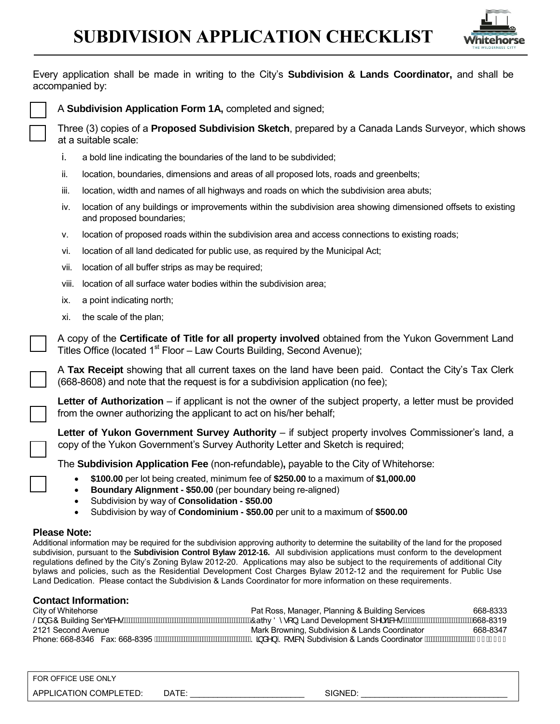# **SUBDIVISION APPLICATION CHECKLIST**



Every application shall be made in writing to the City's **Subdivision & Lands Coordinator,** and shall be accompanied by:



A **Subdivision Application Form 1A,** completed and signed;

 Three (3) copies of a **Proposed Subdivision Sketch**, prepared by a Canada Lands Surveyor, which shows at a suitable scale:

- i. a bold line indicating the boundaries of the land to be subdivided;
- ii. location, boundaries, dimensions and areas of all proposed lots, roads and greenbelts;
- iii. location, width and names of all highways and roads on which the subdivision area abuts;
- iv. location of any buildings or improvements within the subdivision area showing dimensioned offsets to existing and proposed boundaries;
- v. location of proposed roads within the subdivision area and access connections to existing roads;
- vi. location of all land dedicated for public use, as required by the Municipal Act;
- vii. location of all buffer strips as may be required;
- viii. location of all surface water bodies within the subdivision area;
- ix. a point indicating north;
- xi. the scale of the plan;

A copy of the **Certificate of Title for all property involved** obtained from the Yukon Government Land Titles Office (located  $1<sup>st</sup>$  Floor – Law Courts Building, Second Avenue);

A **Tax Receipt** showing that all current taxes on the land have been paid. Contact the City's Tax Clerk (668-8608) and note that the request is for a subdivision application (no fee);

Letter of Authorization – if applicant is not the owner of the subject property, a letter must be provided from the owner authorizing the applicant to act on his/her behalf;

Letter of Yukon Government Survey Authority - if subject property involves Commissioner's land, a copy of the Yukon Government's Survey Authority Letter and Sketch is required;

The **Subdivision Application Fee** (non-refundable)**,** payable to the City of Whitehorse:

- **\$100.00** per lot being created, minimum fee of **\$250.00** to a maximum of **\$1,000.00**
- **Boundary Alignment \$50.00** (per boundary being re-aligned)
- Subdivision by way of **Consolidation \$50.00**
- Subdivision by way of **Condominium \$50.00** per unit to a maximum of **\$500.00**

### **Please Note:**

Additional information may be required for the subdivision approving authority to determine the suitability of the land for the proposed subdivision, pursuant to the **Subdivision Control Bylaw 2012-16.** All subdivision applications must conform to the development regulations defined by the City's Zoning Bylaw 2012-20. Applications may also be subject to the requirements of additional City bylaws and policies, such as the Residential Development Cost Charges Bylaw 2012-12 and the requirement for Public Use Land Dedication. Please contact the Subdivision & Lands Coordinator for more information on these requirements.

## **Contact Information:**

City of Whitehorse Pat Ross, Manager, Planning & Building Services 668-8333 /DQG & Building SerYLFHV&athy '\VRQ, Land Development SHUYLFHV668-8319 Mark Browning, Subdivision & Lands Coordinator Phone: 668-8346 Fax: 668-8395 *h*WWWWWWWWWWWWWWWWWWSa a^} /S (• a , Subdivision & Lands Coordinator *hWWWWWW*WWA I JE I I H

FOR OFFICE USE ONLY APPLICATION COMPLETED: DATE: \_\_\_\_\_\_\_\_\_\_\_\_\_\_\_\_\_\_\_\_\_\_\_\_\_ SIGNED: \_\_\_\_\_\_\_\_\_\_\_\_\_\_\_\_\_\_\_\_\_\_\_\_\_\_\_\_\_\_\_\_